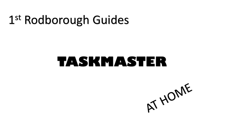# 1 st Rodborough Guides

## **TASKMASTER**

AT HOME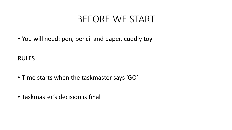## BEFORE WE START

• You will need: pen, pencil and paper, cuddly toy

RULES

- Time starts when the taskmaster says 'GO'
- Taskmaster's decision is final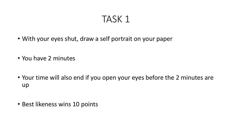- With your eyes shut, draw a self portrait on your paper
- You have 2 minutes
- Your time will also end if you open your eyes before the 2 minutes are up
- Best likeness wins 10 points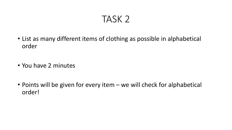- List as many different items of clothing as possible in alphabetical order
- You have 2 minutes
- Points will be given for every item we will check for alphabetical order!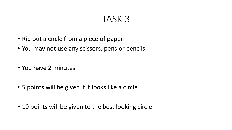- Rip out a circle from a piece of paper
- You may not use any scissors, pens or pencils
- You have 2 minutes
- 5 points will be given if it looks like a circle
- 10 points will be given to the best looking circle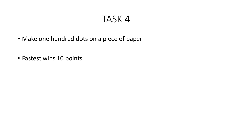- Make one hundred dots on a piece of paper
- Fastest wins 10 points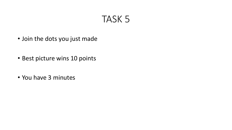- Join the dots you just made
- Best picture wins 10 points
- You have 3 minutes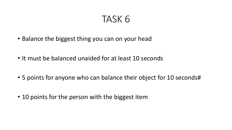- Balance the biggest thing you can on your head
- It must be balanced unaided for at least 10 seconds
- 5 points for anyone who can balance their object for 10 seconds#
- 10 points for the person with the biggest item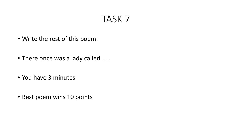- Write the rest of this poem:
- There once was a lady called …..
- You have 3 minutes
- Best poem wins 10 points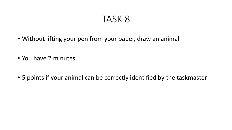- Without lifting your pen from your paper, draw an animal
- You have 2 minutes
- 5 points if your animal can be correctly identified by the taskmaster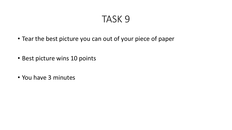- Tear the best picture you can out of your piece of paper
- Best picture wins 10 points
- You have 3 minutes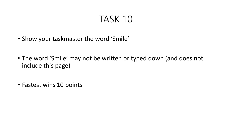- Show your taskmaster the word 'Smile'
- The word 'Smile' may not be written or typed down (and does not include this page)
- Fastest wins 10 points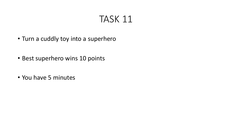- Turn a cuddly toy into a superhero
- Best superhero wins 10 points
- You have 5 minutes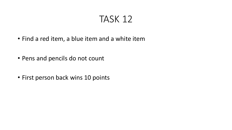- Find a red item, a blue item and a white item
- Pens and pencils do not count
- First person back wins 10 points